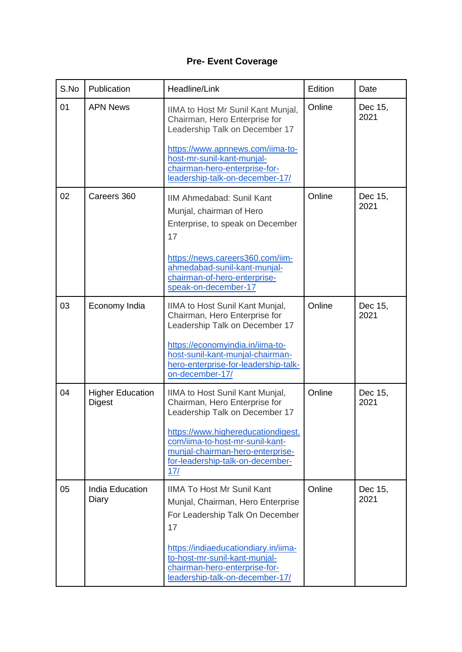## **Pre- Event Coverage**

| S.No | Publication                              | Headline/Link                                                                                                                                                                                                                                                | Edition | Date            |
|------|------------------------------------------|--------------------------------------------------------------------------------------------------------------------------------------------------------------------------------------------------------------------------------------------------------------|---------|-----------------|
| 01   | <b>APN News</b>                          | IIMA to Host Mr Sunil Kant Munjal,<br>Chairman, Hero Enterprise for<br>Leadership Talk on December 17<br>https://www.apnnews.com/iima-to-<br>host-mr-sunil-kant-munjal-<br>chairman-hero-enterprise-for-<br>leadership-talk-on-december-17/                  | Online  | Dec 15,<br>2021 |
| 02   | Careers 360                              | IIM Ahmedabad: Sunil Kant<br>Munjal, chairman of Hero<br>Enterprise, to speak on December<br>17<br>https://news.careers360.com/iim-<br>ahmedabad-sunil-kant-munjal-<br>chairman-of-hero-enterprise-<br>speak-on-december-17                                  | Online  | Dec 15,<br>2021 |
| 03   | Economy India                            | IIMA to Host Sunil Kant Munjal,<br>Chairman, Hero Enterprise for<br>Leadership Talk on December 17<br>https://economyindia.in/iima-to-<br>host-sunil-kant-munjal-chairman-<br>hero-enterprise-for-leadership-talk-<br>on-december-17/                        | Online  | Dec 15,<br>2021 |
| 04   | <b>Higher Education</b><br><b>Digest</b> | IIMA to Host Sunil Kant Munjal,<br>Chairman, Hero Enterprise for<br>Leadership Talk on December 17<br>https://www.highereducationdigest.<br>com/iima-to-host-mr-sunil-kant-<br>munjal-chairman-hero-enterprise-<br>for-leadership-talk-on-december-<br>17/   | Online  | Dec 15,<br>2021 |
| 05   | <b>India Education</b><br>Diary          | <b>IIMA To Host Mr Sunil Kant</b><br>Munjal, Chairman, Hero Enterprise<br>For Leadership Talk On December<br>17<br>https://indiaeducationdiary.in/iima-<br>to-host-mr-sunil-kant-munjal-<br>chairman-hero-enterprise-for-<br>leadership-talk-on-december-17/ | Online  | Dec 15,<br>2021 |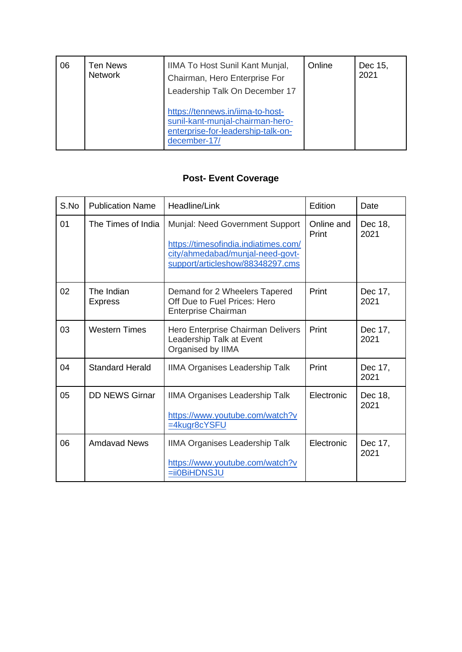| 06 | <b>Ten News</b><br><b>Network</b> | IIMA To Host Sunil Kant Munjal,<br>Chairman, Hero Enterprise For<br>Leadership Talk On December 17                         | Online | Dec 15,<br>2021 |
|----|-----------------------------------|----------------------------------------------------------------------------------------------------------------------------|--------|-----------------|
|    |                                   | https://tennews.in/iima-to-host-<br>sunil-kant-munjal-chairman-hero-<br>enterprise-for-leadership-talk-on-<br>december-17/ |        |                 |

## **Post- Event Coverage**

| S.No | <b>Publication Name</b>      | Headline/Link                                                                                                                                   | Edition             | Date            |
|------|------------------------------|-------------------------------------------------------------------------------------------------------------------------------------------------|---------------------|-----------------|
| 01   | The Times of India           | Munjal: Need Government Support<br>https://timesofindia.indiatimes.com/<br>city/ahmedabad/munjal-need-govt-<br>support/articleshow/88348297.cms | Online and<br>Print | Dec 18,<br>2021 |
| 02   | The Indian<br><b>Express</b> | Demand for 2 Wheelers Tapered<br>Off Due to Fuel Prices: Hero<br><b>Enterprise Chairman</b>                                                     | Print               | Dec 17,<br>2021 |
| 03   | <b>Western Times</b>         | Hero Enterprise Chairman Delivers<br>Leadership Talk at Event<br>Organised by IIMA                                                              | Print               | Dec 17,<br>2021 |
| 04   | <b>Standard Herald</b>       | <b>IIMA Organises Leadership Talk</b>                                                                                                           | Print               | Dec 17,<br>2021 |
| 05   | <b>DD NEWS Girnar</b>        | <b>IIMA Organises Leadership Talk</b><br>https://www.youtube.com/watch?v<br>=4kugr8cYSFU                                                        | Electronic          | Dec 18,<br>2021 |
| 06   | <b>Amdavad News</b>          | <b>IIMA Organises Leadership Talk</b><br>https://www.youtube.com/watch?v<br>=ii0BiHDNSJU                                                        | Electronic          | Dec 17,<br>2021 |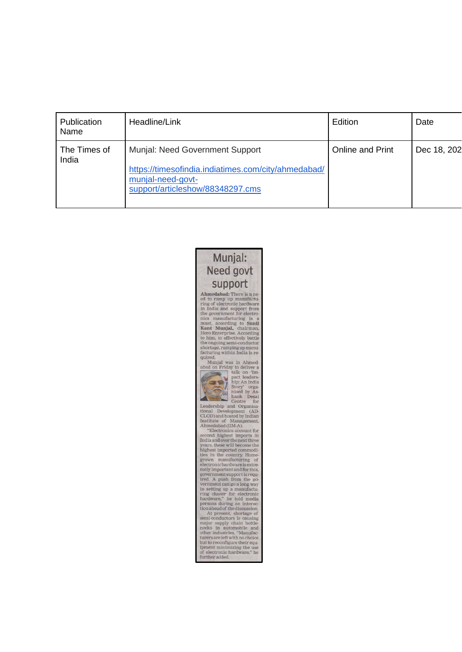| Publication<br>Name   | Headline/Link                                                                                                                                   | Edition          | Date        |
|-----------------------|-------------------------------------------------------------------------------------------------------------------------------------------------|------------------|-------------|
| The Times of<br>India | Munjal: Need Government Support<br>https://timesofindia.indiatimes.com/city/ahmedabad/<br>munjal-need-govt-<br>support/articleshow/88348297.cms | Online and Print | Dec 18, 202 |

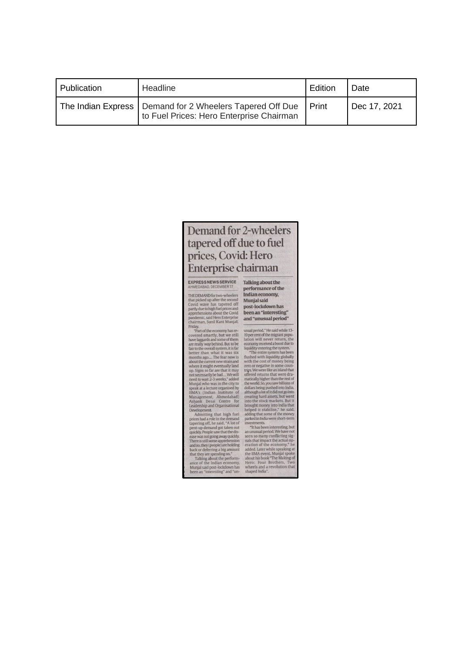| Publication | Headline                                                                                               | Edition | Date         |
|-------------|--------------------------------------------------------------------------------------------------------|---------|--------------|
|             | The Indian Express   Demand for 2 Wheelers Tapered Off Due<br>to Fuel Prices: Hero Enterprise Chairman | I Print | Dec 17, 2021 |

## **Demand for 2-wheelers** tapered off due to fuel prices, Covid: Hero **Enterprise chairman**

## EXPRESS NEWS SERVICE<br>AHMEDABAD, DECEMBER 17

THE DEMAND for two-wheelers<br>that picked up after the second<br>that picked up after the second<br>covid wave has ta appeared off<br>partly due to high fuel pinces and<br>paralemino, said Hero Enterprise<br>chairman, Sunil Kant Munjal,<br>"T

performance of the Indian economy, Munjal said post-lockdown has been an "interesting" and "unusual period"

Talking about the

and "unusual period"<br>
usual period"<br>
usual period"<br>
usual period "He said while 13-19<br>
percent of the migrant population will never return, the aconomy received a boost due to figure<br>
if the control period is system. The c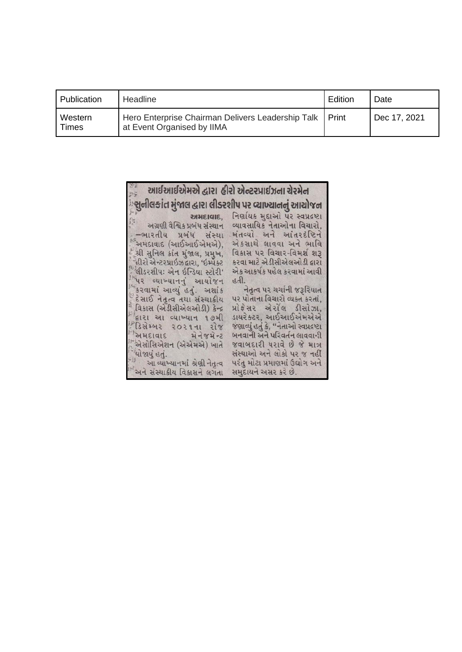| Publication             | Headline                                                                        | Edition | Date         |
|-------------------------|---------------------------------------------------------------------------------|---------|--------------|
| Western<br><b>Times</b> | Hero Enterprise Chairman Delivers Leadership Talk<br>at Event Organised by IIMA | Print   | Dec 17, 2021 |

| ે આઈઆઈએમએ દ્વારા હીરો એન્ટરપ્રાઈઝના ચેરમેન             |                                         |
|--------------------------------------------------------|-----------------------------------------|
| ્સુનીલકાંત મુંજાલ દ્વારા લીડરશીપ પર વ્યાખ્યાનનું આયોજન |                                         |
| $H = 2H + 16H$                                         | નિર્ણાયક મુદ્દાઓ પર સ્વપ્રદ્રષ્ટા       |
| અગ્રણી વૈશ્વિક પ્રબંધ સંસ્થાન                          | વ્યાવસાયિક નેતાઓના વિચારો,              |
| –ભારતીય પ્રબંધ સંસ્થા                                  | મંતવ્યો અને આંતરદંષ્ટિને                |
| ્અમદાવાદ (આઈઆઈએમએ),                                    | અંકસાથે લાવવા અને ભાવિ                  |
| ં શ્રી સુનિલ કાંત મુંજાલ, પ્રમુખ,                      | વિકાસ પર વિચાર-વિમર્શ શરૂ               |
| ેહીરો એન્ટરપ્રાઇઝ દ્વારા, 'ઇમ્પેક્ટ                    | કરવા માટે એડીસીએલઓડી દ્વારા             |
| ં લીડરશીપઃ એન ઇન્ડિયા સ્ટોરી'                          | એક આકર્ષક પહેલ કરવામાં આવી              |
| પિર વ્યાખ્યાનનું આયોજન                                 | હતી.                                    |
| ્કરવામાં આવ્યું હતું. અશાંક                            | નેતૃત્વ પર ચર્ચાની જરૂરિયાત             |
| ંદેસાઈ નેતૃત્વ તથા સંસ્થાકીય                           | પર પોતાના વિચારો વ્યક્ત કરતાં,          |
| ્વિકાસ (એડીસીએલઓડી) કેન્દ્ર                            | પ્રોકેસર એરોલ ડીસોઝા,                   |
| લારા આ વ્યાખ્યાન ૧૭મી                                  | ડાયરેક્ટર, આઈઆઈએમએએ                     |
| ીડિસેમ્બર ૨૦૨૧ના રોજ                                   | જણાવ્યું હતું કે, ''નેતાઓ સ્વપ્રદ્રષ્ટા |
| અમદાવાદ મેનેજમેન્ટ                                     | બનવાની અને પરિવર્તન લાવવાની             |
| ં એસોસિએશન (એએમએ) ખાતે                                 | જવાબદારી ધરાવે છે જે માત્ર              |
| ચોજાયું હતું.                                          | સંસ્થાઓ અને લોકો પર જ નહીં              |
| આ વ્યાખ્યાનમાં શ્રેણી નેતૃત્વ                          | પરંતુ મોટા પ્રમાણમાં ઉદ્યોગ અને         |
| ેઅને સંસ્થાકીય વિકાસને લગતા                            | સમુદાયને અસર કરે છે.                    |